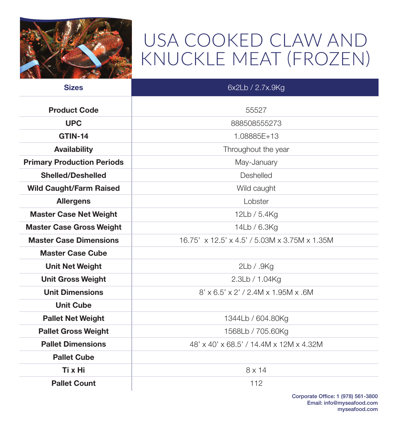

## USA COOKED CLAW AND KNUCKLE MEAT (FROZEN)

| <b>Sizes</b>                      | 6x2Lb / 2.7x.9Kg                              |
|-----------------------------------|-----------------------------------------------|
| <b>Product Code</b>               | 55527                                         |
| <b>UPC</b>                        | 888508555273                                  |
| <b>GTIN-14</b>                    | 1.08885E+13                                   |
| <b>Availability</b>               | Throughout the year                           |
| <b>Primary Production Periods</b> | May-January                                   |
| <b>Shelled/Deshelled</b>          | <b>Deshelled</b>                              |
| <b>Wild Caught/Farm Raised</b>    | Wild caught                                   |
| <b>Allergens</b>                  | Lobster                                       |
| <b>Master Case Net Weight</b>     | 12Lb / 5.4Kg                                  |
| <b>Master Case Gross Weight</b>   | 14Lb / 6.3Kg                                  |
| <b>Master Case Dimensions</b>     | 16.75' x 12.5' x 4.5' / 5.03M x 3.75M x 1.35M |
| <b>Master Case Cube</b>           |                                               |
| <b>Unit Net Weight</b>            | 2Lb / .9Kg                                    |
| <b>Unit Gross Weight</b>          | 2.3Lb / 1.04Kg                                |
| <b>Unit Dimensions</b>            | $8'$ x 6.5' x 2' / 2.4M x 1.95M x .6M         |
| <b>Unit Cube</b>                  |                                               |
| <b>Pallet Net Weight</b>          | 1344Lb / 604.80Kg                             |
| <b>Pallet Gross Weight</b>        | 1568Lb / 705.60Kg                             |
| <b>Pallet Dimensions</b>          | 48' x 40' x 68.5' / 14.4M x 12M x 4.32M       |
| <b>Pallet Cube</b>                |                                               |
| Ti x Hi                           | $8 \times 14$                                 |
| <b>Pallet Count</b>               | 112                                           |